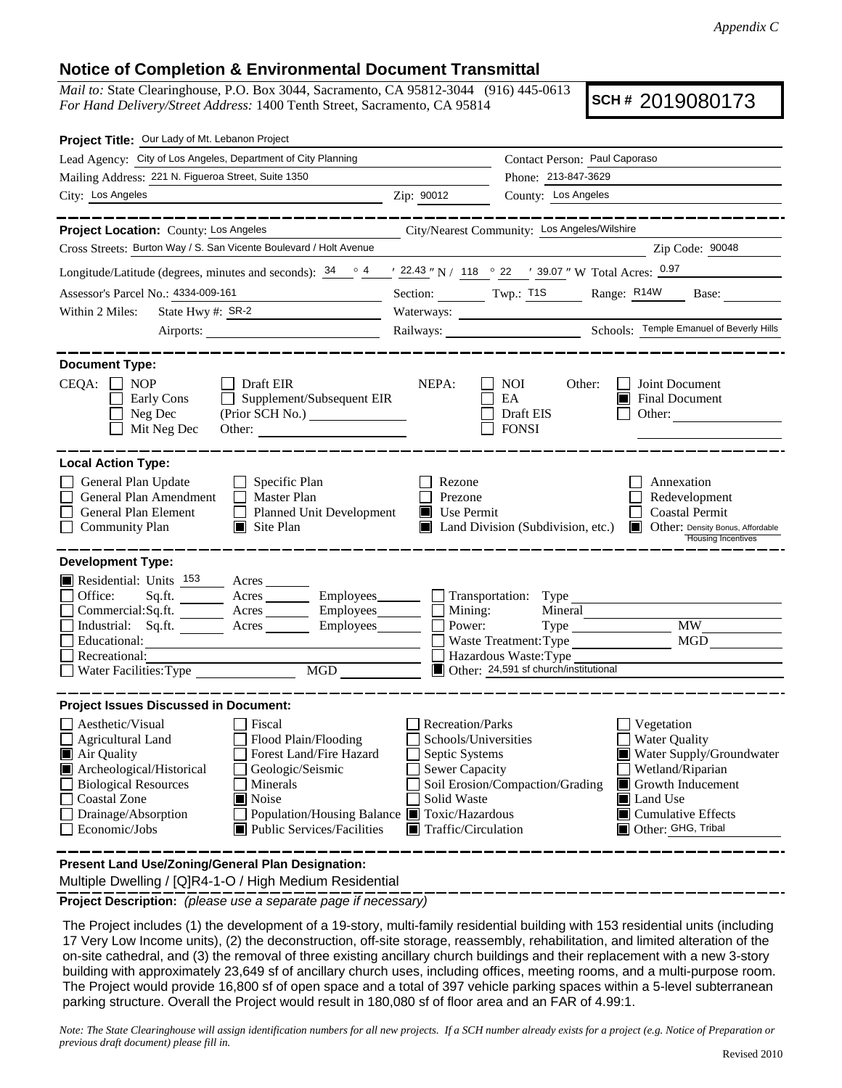## **Notice of Completion & Environmental Document Transmittal**

*Mail to:* State Clearinghouse, P.O. Box 3044, Sacramento, CA 95812-3044 (916) 445-0613 *For Hand Delivery/Street Address:* 1400 Tenth Street, Sacramento, CA 95814

**SCH #** 2019080173

| Project Title: Our Lady of Mt. Lebanon Project                                                                                                                                                                                                                                                                                                                                                                     |                                                                                                                           |                                                                                                                                         |                                                                                                                                                                        |
|--------------------------------------------------------------------------------------------------------------------------------------------------------------------------------------------------------------------------------------------------------------------------------------------------------------------------------------------------------------------------------------------------------------------|---------------------------------------------------------------------------------------------------------------------------|-----------------------------------------------------------------------------------------------------------------------------------------|------------------------------------------------------------------------------------------------------------------------------------------------------------------------|
| Lead Agency: City of Los Angeles, Department of City Planning                                                                                                                                                                                                                                                                                                                                                      |                                                                                                                           | Contact Person: Paul Caporaso                                                                                                           |                                                                                                                                                                        |
| Mailing Address: 221 N. Figueroa Street, Suite 1350                                                                                                                                                                                                                                                                                                                                                                |                                                                                                                           | Phone: 213-847-3629                                                                                                                     |                                                                                                                                                                        |
| City: Los Angeles<br><u> 1989 - Johann Stein, marwolaethau a bhann an t-Amhair an t-Amhair an t-Amhair an t-Amhair an t-Amhair an t-A</u>                                                                                                                                                                                                                                                                          | Zip: 90012                                                                                                                | County: Los Angeles                                                                                                                     |                                                                                                                                                                        |
| ________                                                                                                                                                                                                                                                                                                                                                                                                           |                                                                                                                           |                                                                                                                                         |                                                                                                                                                                        |
| Project Location: County: Los Angeles                                                                                                                                                                                                                                                                                                                                                                              |                                                                                                                           | City/Nearest Community: Los Angeles/Wilshire                                                                                            |                                                                                                                                                                        |
| Cross Streets: Burton Way / S. San Vicente Boulevard / Holt Avenue                                                                                                                                                                                                                                                                                                                                                 |                                                                                                                           |                                                                                                                                         | Zip Code: 90048                                                                                                                                                        |
| Longitude/Latitude (degrees, minutes and seconds): $\frac{34}{9}$ $\frac{4}{9}$ $\frac{4}{122.43}$ N / $\frac{118}{118}$ $\frac{22}{118}$ 39.07 " W Total Acres: $\frac{0.97}{9}$                                                                                                                                                                                                                                  |                                                                                                                           |                                                                                                                                         |                                                                                                                                                                        |
| Assessor's Parcel No.: 4334-009-161                                                                                                                                                                                                                                                                                                                                                                                |                                                                                                                           |                                                                                                                                         | Section: Twp.: T1S Range: R14W Base:                                                                                                                                   |
| State Hwy #: SR-2<br>Within 2 Miles:                                                                                                                                                                                                                                                                                                                                                                               |                                                                                                                           |                                                                                                                                         |                                                                                                                                                                        |
|                                                                                                                                                                                                                                                                                                                                                                                                                    |                                                                                                                           |                                                                                                                                         |                                                                                                                                                                        |
| <b>Document Type:</b><br>$CEQA: \Box$<br><b>NOP</b><br>Draft EIR<br>Supplement/Subsequent EIR<br>Early Cons<br>Neg Dec<br>Mit Neg Dec<br>Other:                                                                                                                                                                                                                                                                    | NEPA:                                                                                                                     | <b>NOI</b><br>Other:<br>EA<br>Draft EIS<br><b>FONSI</b>                                                                                 | Joint Document<br><b>Final Document</b><br>Other:                                                                                                                      |
| <b>Local Action Type:</b><br>General Plan Update<br>$\Box$ Specific Plan<br>General Plan Amendment<br>Master Plan<br>General Plan Element<br>Planned Unit Development<br><b>Community Plan</b><br>$\Box$ Site Plan                                                                                                                                                                                                 | Rezone<br>Prezone<br>Use Permit<br>Ш                                                                                      | Land Division (Subdivision, etc.)                                                                                                       | Annexation<br>Redevelopment<br><b>Coastal Permit</b><br><b>Other:</b> Density Bonus, Affordable<br><b>Housing Incentives</b>                                           |
| <b>Development Type:</b><br>Residential: Units <sup>153</sup> Acres<br>Office:<br>Acres __________ Employees________<br>Sq.fit.<br>Acres __________ Employees________<br>Commercial:Sq.ft.<br>Industrial: Sq.ft.<br>Employees<br>Acres<br>Educational:<br>Recreational:<br>MGD<br>Water Facilities: Type                                                                                                           | Mining:<br>Power:                                                                                                         | Transportation: Type<br>Mineral<br>$Type \_$<br>Waste Treatment: Type<br>Hazardous Waste: Type<br>Other: 24,591 sf church/institutional | <b>MW</b><br>MGD                                                                                                                                                       |
| <b>Project Issues Discussed in Document:</b><br>Aesthetic/Visual<br>Fiscal<br>Flood Plain/Flooding<br><b>Agricultural Land</b><br>Air Quality<br>Forest Land/Fire Hazard<br>Archeological/Historical<br>Geologic/Seismic<br><b>Biological Resources</b><br>Minerals<br>Coastal Zone<br>Noise<br>Drainage/Absorption<br>Population/Housing Balance ■ Toxic/Hazardous<br>Economic/Jobs<br>Public Services/Facilities | <b>Recreation/Parks</b><br>Schools/Universities<br>Septic Systems<br>Sewer Capacity<br>Solid Waste<br>Traffic/Circulation | Soil Erosion/Compaction/Grading                                                                                                         | Vegetation<br><b>Water Quality</b><br>Water Supply/Groundwater<br>Wetland/Riparian<br>Growth Inducement<br>Land Use<br>$\Box$ Cumulative Effects<br>Other: GHG, Tribal |
| Present Land Use/Zoning/General Plan Designation:                                                                                                                                                                                                                                                                                                                                                                  |                                                                                                                           |                                                                                                                                         |                                                                                                                                                                        |

Multiple Dwelling / [Q]R4-1-O / High Medium Residential

**Project Description:** *(please use a separate page if necessary)*

The Project includes (1) the development of a 19-story, multi-family residential building with 153 residential units (including 17 Very Low Income units), (2) the deconstruction, off-site storage, reassembly, rehabilitation, and limited alteration of the on-site cathedral, and (3) the removal of three existing ancillary church buildings and their replacement with a new 3-story building with approximately 23,649 sf of ancillary church uses, including offices, meeting rooms, and a multi-purpose room. The Project would provide 16,800 sf of open space and a total of 397 vehicle parking spaces within a 5-level subterranean parking structure. Overall the Project would result in 180,080 sf of floor area and an FAR of 4.99:1.

*Note: The State Clearinghouse will assign identification numbers for all new projects. If a SCH number already exists for a project (e.g. Notice of Preparation or previous draft document) please fill in.*